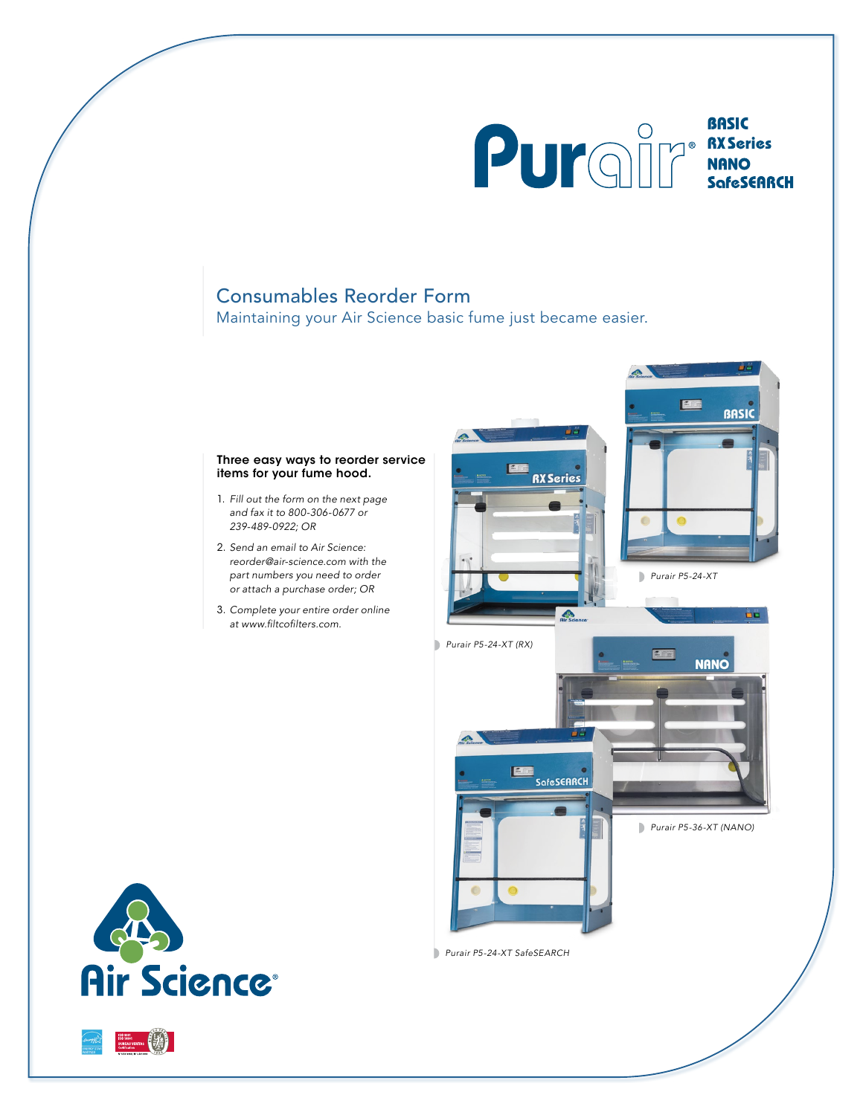

**BASIC** 

## Consumables Reorder Form

Maintaining your Air Science basic fume just became easier.

## Three easy ways to reorder service items for your fume hood.

- 1. *Fill out the form on the next page and fax it to 800-306-0677 or 239-489-0922; OR*
- 2. *Send an email to Air Science: reorder@air-science.com with the part numbers you need to order or attach a purchase order; OR*
- 3. *Complete your entire order online* at www.filtcofilters.com.



*Purair P5-24-XT SafeSEARCH*



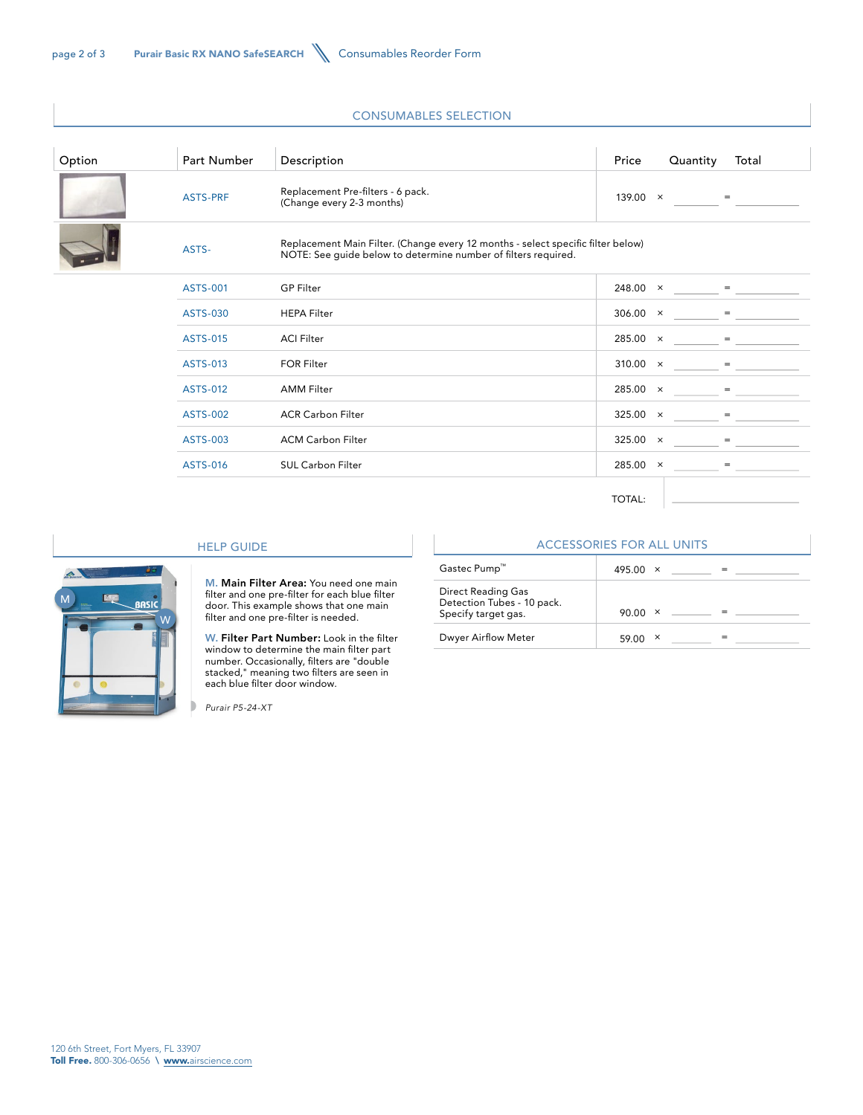## CONSUMABLES SELECTION

| Option | Part Number     | Description                                                                                                                                        | Price           | Quantity | Total |
|--------|-----------------|----------------------------------------------------------------------------------------------------------------------------------------------------|-----------------|----------|-------|
|        | <b>ASTS-PRF</b> | Replacement Pre-filters - 6 pack.<br>(Change every 2-3 months)                                                                                     | $139.00 \times$ |          | $=$   |
|        | ASTS-           | Replacement Main Filter. (Change every 12 months - select specific filter below)<br>NOTE: See guide below to determine number of filters required. |                 |          |       |
|        | <b>ASTS-001</b> | <b>GP Filter</b>                                                                                                                                   | $248.00 \times$ |          | $=$   |
|        | ASTS-030        | <b>HEPA Filter</b>                                                                                                                                 | $306.00 \times$ |          | $=$   |
|        | <b>ASTS-015</b> | <b>ACI Filter</b>                                                                                                                                  | $285.00 \times$ |          | $=$   |
|        | ASTS-013        | <b>FOR Filter</b>                                                                                                                                  | $310.00 \times$ |          | $=$   |
|        | <b>ASTS-012</b> | <b>AMM Filter</b>                                                                                                                                  | $285.00 \times$ |          | $=$   |
|        | <b>ASTS-002</b> | <b>ACR Carbon Filter</b>                                                                                                                           | $325.00 \times$ |          |       |
|        | ASTS-003        | <b>ACM Carbon Filter</b>                                                                                                                           | $325.00 \times$ |          | $=$   |
|        | ASTS-016        | <b>SUL Carbon Filter</b>                                                                                                                           | $285.00 \times$ |          | $=$   |
|        |                 |                                                                                                                                                    |                 |          |       |

TOTAL:



## HELP GUIDE

M. Main Filter Area: You need one main filter and one pre-filter for each blue filter door. This example shows that one main filter and one pre-filter is needed.

W. Filter Part Number: Look in the filter window to determine the main filter part number. Occasionally, filters are "double stacked," meaning two filters are seen in each blue filter door window.

*Purair P5-24-XT*

|                                                                         | <b>ACCESSORIES FOR ALL UNITS</b> |  |
|-------------------------------------------------------------------------|----------------------------------|--|
| Gastec Pump™                                                            | 495.00 $\times$                  |  |
| Direct Reading Gas<br>Detection Tubes - 10 pack.<br>Specify target gas. | 90.00<br>X                       |  |
| Dwyer Airflow Meter                                                     | 59.00                            |  |